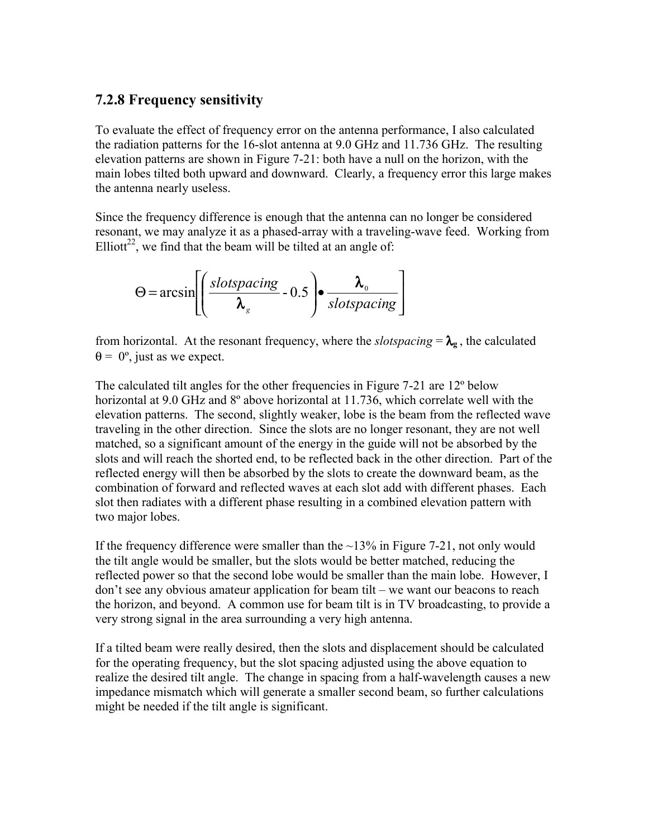#### **7.2.8 Frequency sensitivity**

To evaluate the effect of frequency error on the antenna performance, I also calculated the radiation patterns for the 16-slot antenna at 9.0 GHz and 11.736 GHz. The resulting elevation patterns are shown in Figure 7-21: both have a null on the horizon, with the main lobes tilted both upward and downward. Clearly, a frequency error this large makes the antenna nearly useless.

Since the frequency difference is enough that the antenna can no longer be considered resonant, we may analyze it as a phased-array with a traveling-wave feed. Working from Elliott<sup>22</sup>, we find that the beam will be tilted at an angle of:

$$
\Theta = \arcsin\left[\left(\frac{slotspacing}{\lambda_g} - 0.5\right) \bullet \frac{\lambda_0}{slotspacing}\right]
$$

from horizontal. At the resonant frequency, where the *slotspacing* =  $\lambda_{g}$ , the calculated  $\theta = 0^\circ$ , just as we expect.

The calculated tilt angles for the other frequencies in Figure 7-21 are 12º below horizontal at 9.0 GHz and 8<sup>°</sup> above horizontal at 11.736, which correlate well with the elevation patterns. The second, slightly weaker, lobe is the beam from the reflected wave traveling in the other direction. Since the slots are no longer resonant, they are not well matched, so a significant amount of the energy in the guide will not be absorbed by the slots and will reach the shorted end, to be reflected back in the other direction. Part of the reflected energy will then be absorbed by the slots to create the downward beam, as the combination of forward and reflected waves at each slot add with different phases. Each slot then radiates with a different phase resulting in a combined elevation pattern with two major lobes.

If the frequency difference were smaller than the  $\sim$ 13% in Figure 7-21, not only would the tilt angle would be smaller, but the slots would be better matched, reducing the reflected power so that the second lobe would be smaller than the main lobe. However, I don't see any obvious amateur application for beam tilt – we want our beacons to reach the horizon, and beyond. A common use for beam tilt is in TV broadcasting, to provide a very strong signal in the area surrounding a very high antenna.

If a tilted beam were really desired, then the slots and displacement should be calculated for the operating frequency, but the slot spacing adjusted using the above equation to realize the desired tilt angle. The change in spacing from a half-wavelength causes a new impedance mismatch which will generate a smaller second beam, so further calculations might be needed if the tilt angle is significant.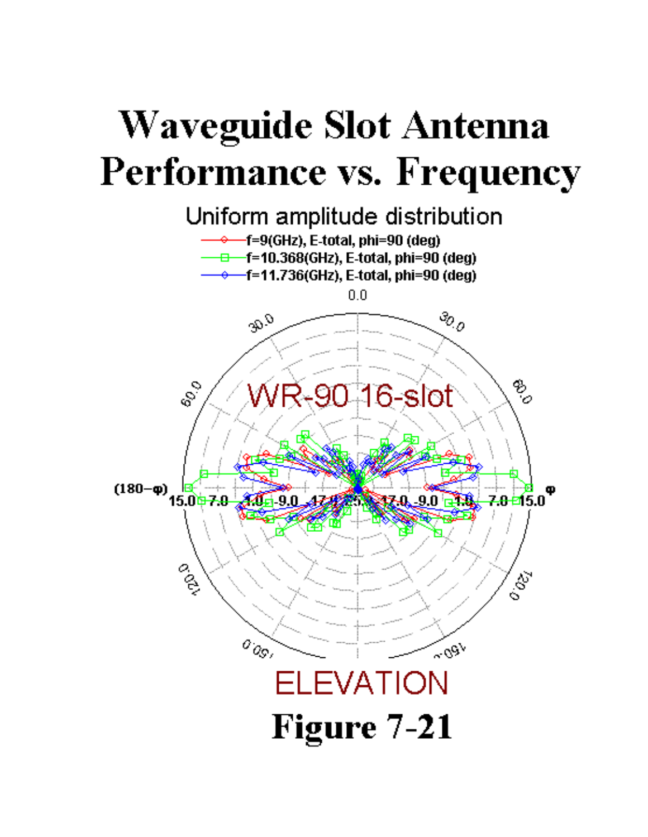# **Waveguide Slot Antenna** Performance vs. Frequency

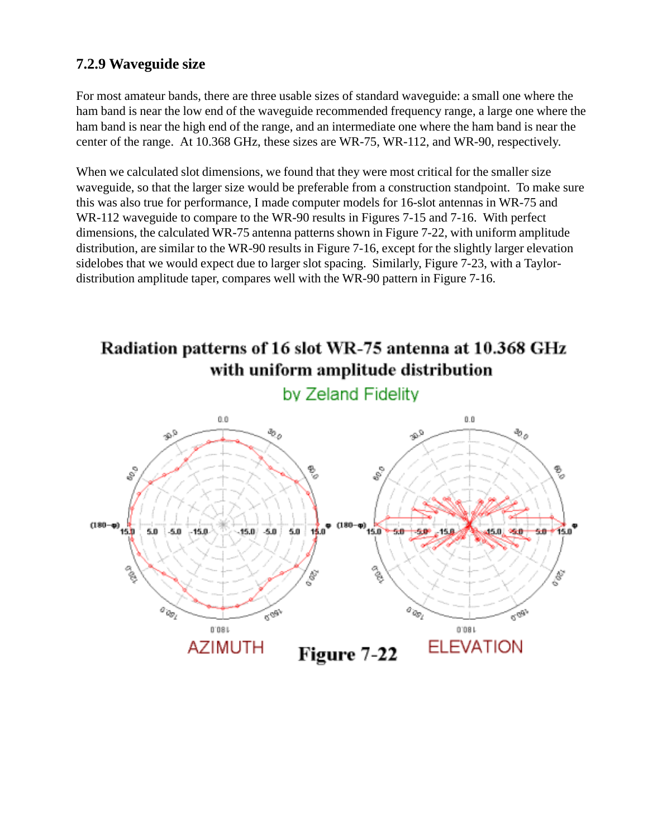### **7.2.9 Waveguide size**

For most amateur bands, there are three usable sizes of standard waveguide: a small one where the ham band is near the low end of the waveguide recommended frequency range, a large one where the ham band is near the high end of the range, and an intermediate one where the ham band is near the center of the range. At 10.368 GHz, these sizes are WR-75, WR-112, and WR-90, respectively.

When we calculated slot dimensions, we found that they were most critical for the smaller size waveguide, so that the larger size would be preferable from a construction standpoint. To make sure this was also true for performance, I made computer models for 16-slot antennas in WR-75 and WR-112 waveguide to compare to the WR-90 results in Figures 7-15 and 7-16. With perfect dimensions, the calculated WR-75 antenna patterns shown in Figure 7-22, with uniform amplitude distribution, are similar to the WR-90 results in Figure 7-16, except for the slightly larger elevation sidelobes that we would expect due to larger slot spacing. Similarly, Figure 7-23, with a Taylordistribution amplitude taper, compares well with the WR-90 pattern in Figure 7-16.

## Radiation patterns of 16 slot WR-75 antenna at 10.368 GHz with uniform amplitude distribution



by Zeland Fidelity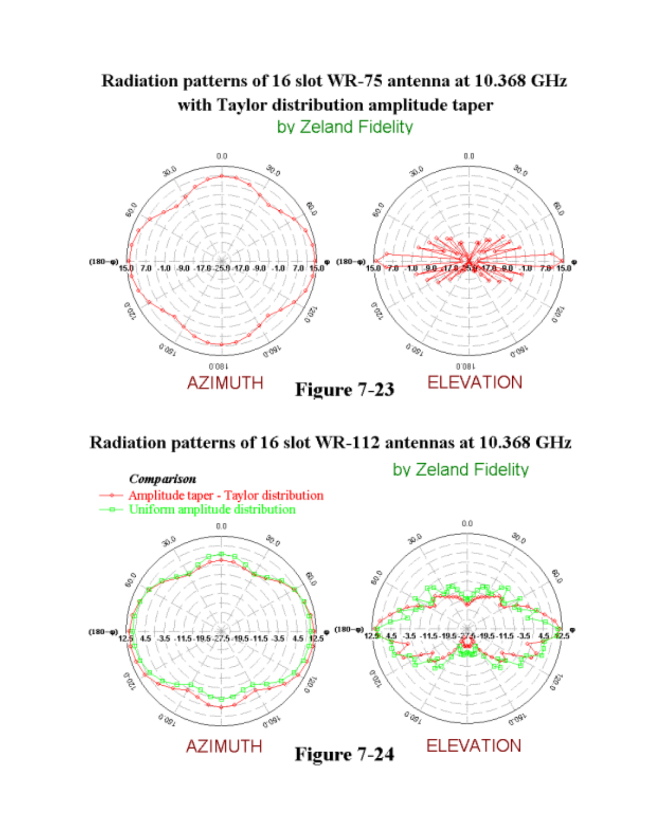## Radiation patterns of 16 slot WR-75 antenna at 10.368 GHz with Taylor distribution amplitude taper by Zeland Fidelity



## Radiation patterns of 16 slot WR-112 antennas at 10.368 GHz

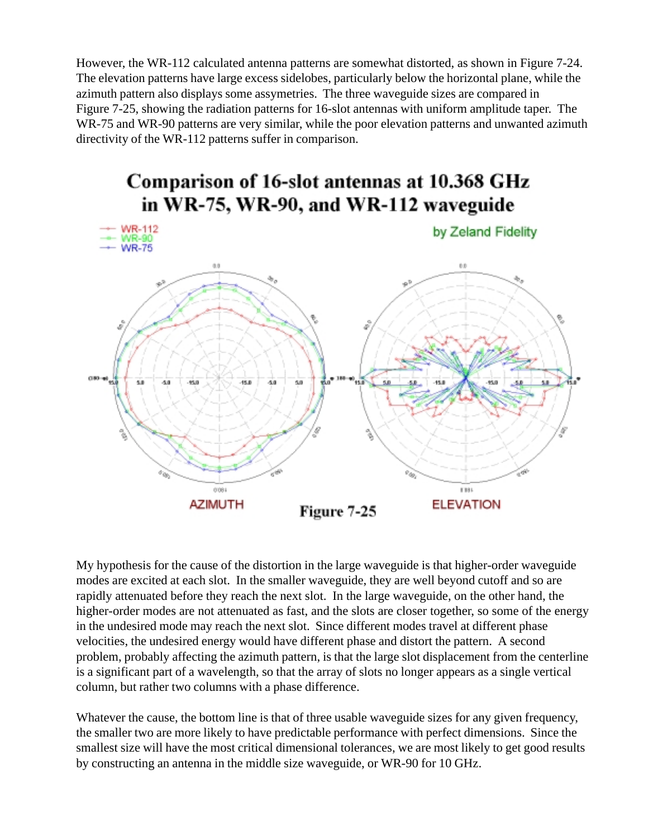However, the WR-112 calculated antenna patterns are somewhat distorted, as shown in Figure 7-24. The elevation patterns have large excess sidelobes, particularly below the horizontal plane, while the azimuth pattern also displays some assymetries. The three waveguide sizes are compared in Figure 7-25, showing the radiation patterns for 16-slot antennas with uniform amplitude taper. The WR-75 and WR-90 patterns are very similar, while the poor elevation patterns and unwanted azimuth directivity of the WR-112 patterns suffer in comparison.



My hypothesis for the cause of the distortion in the large waveguide is that higher-order waveguide modes are excited at each slot. In the smaller waveguide, they are well beyond cutoff and so are rapidly attenuated before they reach the next slot. In the large waveguide, on the other hand, the higher-order modes are not attenuated as fast, and the slots are closer together, so some of the energy in the undesired mode may reach the next slot. Since different modes travel at different phase velocities, the undesired energy would have different phase and distort the pattern. A second problem, probably affecting the azimuth pattern, is that the large slot displacement from the centerline is a significant part of a wavelength, so that the array of slots no longer appears as a single vertical column, but rather two columns with a phase difference.

Whatever the cause, the bottom line is that of three usable waveguide sizes for any given frequency, the smaller two are more likely to have predictable performance with perfect dimensions. Since the smallest size will have the most critical dimensional tolerances, we are most likely to get good results by constructing an antenna in the middle size waveguide, or WR-90 for 10 GHz.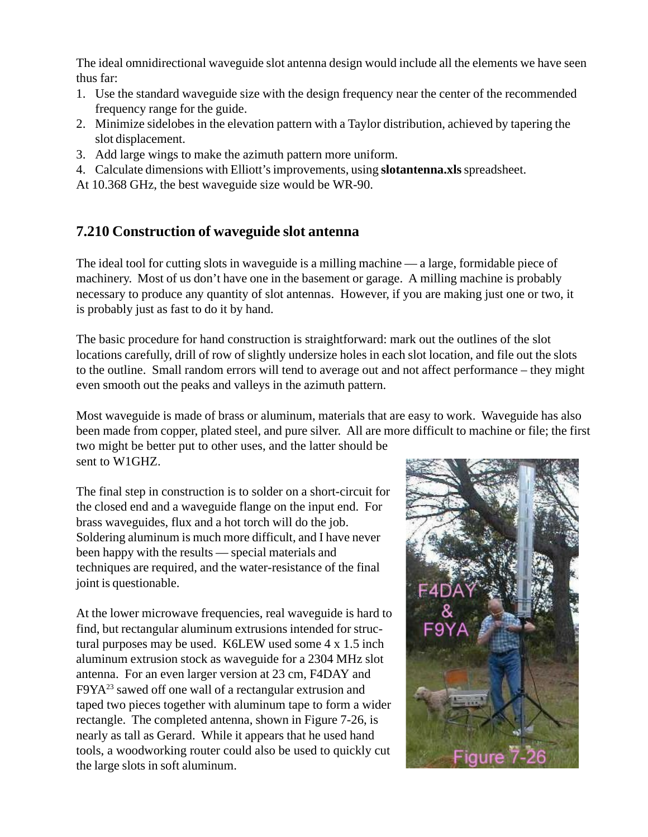The ideal omnidirectional waveguide slot antenna design would include all the elements we have seen thus far:

- 1. Use the standard waveguide size with the design frequency near the center of the recommended frequency range for the guide.
- 2. Minimize sidelobes in the elevation pattern with a Taylor distribution, achieved by tapering the slot displacement.
- 3. Add large wings to make the azimuth pattern more uniform.
- 4. Calculate dimensions with Elliott's improvements, using **slotantenna.xls** spreadsheet.

At 10.368 GHz, the best waveguide size would be WR-90.

## **7.210 Construction of waveguide slot antenna**

The ideal tool for cutting slots in waveguide is a milling machine — a large, formidable piece of machinery. Most of us don't have one in the basement or garage. A milling machine is probably necessary to produce any quantity of slot antennas. However, if you are making just one or two, it is probably just as fast to do it by hand.

The basic procedure for hand construction is straightforward: mark out the outlines of the slot locations carefully, drill of row of slightly undersize holes in each slot location, and file out the slots to the outline. Small random errors will tend to average out and not affect performance – they might even smooth out the peaks and valleys in the azimuth pattern.

Most waveguide is made of brass or aluminum, materials that are easy to work. Waveguide has also been made from copper, plated steel, and pure silver. All are more difficult to machine or file; the first two might be better put to other uses, and the latter should be sent to W1GHZ.

The final step in construction is to solder on a short-circuit for the closed end and a waveguide flange on the input end. For brass waveguides, flux and a hot torch will do the job. Soldering aluminum is much more difficult, and I have never been happy with the results — special materials and techniques are required, and the water-resistance of the final joint is questionable.

At the lower microwave frequencies, real waveguide is hard to find, but rectangular aluminum extrusions intended for structural purposes may be used. K6LEW used some 4 x 1.5 inch aluminum extrusion stock as waveguide for a 2304 MHz slot antenna. For an even larger version at 23 cm, F4DAY and F9YA<sup>23</sup> sawed off one wall of a rectangular extrusion and taped two pieces together with aluminum tape to form a wider rectangle. The completed antenna, shown in Figure 7-26, is nearly as tall as Gerard. While it appears that he used hand tools, a woodworking router could also be used to quickly cut the large slots in soft aluminum.

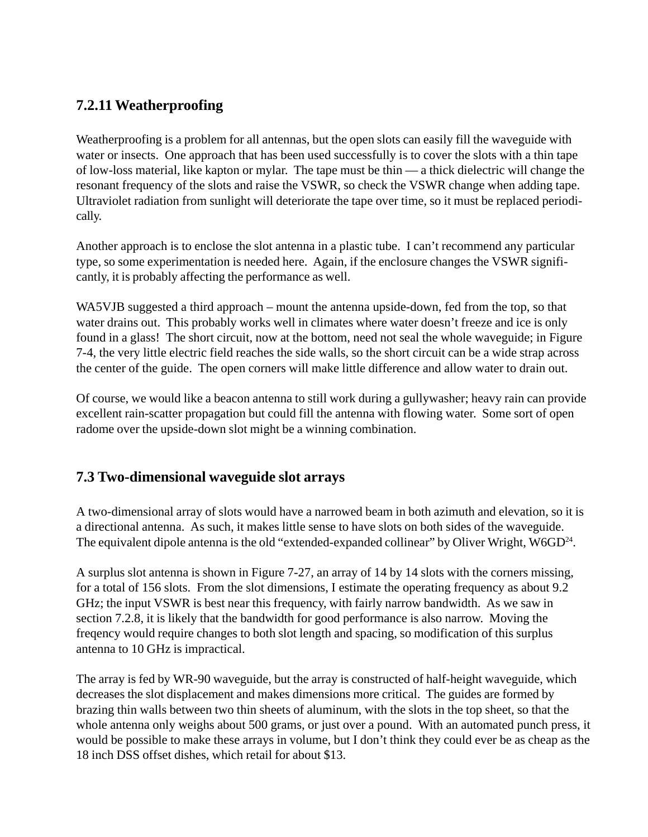## **7.2.11 Weatherproofing**

Weatherproofing is a problem for all antennas, but the open slots can easily fill the waveguide with water or insects. One approach that has been used successfully is to cover the slots with a thin tape of low-loss material, like kapton or mylar. The tape must be thin — a thick dielectric will change the resonant frequency of the slots and raise the VSWR, so check the VSWR change when adding tape. Ultraviolet radiation from sunlight will deteriorate the tape over time, so it must be replaced periodically.

Another approach is to enclose the slot antenna in a plastic tube. I can't recommend any particular type, so some experimentation is needed here. Again, if the enclosure changes the VSWR significantly, it is probably affecting the performance as well.

WA5VJB suggested a third approach – mount the antenna upside-down, fed from the top, so that water drains out. This probably works well in climates where water doesn't freeze and ice is only found in a glass! The short circuit, now at the bottom, need not seal the whole waveguide; in Figure 7-4, the very little electric field reaches the side walls, so the short circuit can be a wide strap across the center of the guide. The open corners will make little difference and allow water to drain out.

Of course, we would like a beacon antenna to still work during a gullywasher; heavy rain can provide excellent rain-scatter propagation but could fill the antenna with flowing water. Some sort of open radome over the upside-down slot might be a winning combination.

### **7.3 Two-dimensional waveguide slot arrays**

A two-dimensional array of slots would have a narrowed beam in both azimuth and elevation, so it is a directional antenna. As such, it makes little sense to have slots on both sides of the waveguide. The equivalent dipole antenna is the old "extended-expanded collinear" by Oliver Wright, W6GD<sup>24</sup>.

A surplus slot antenna is shown in Figure 7-27, an array of 14 by 14 slots with the corners missing, for a total of 156 slots. From the slot dimensions, I estimate the operating frequency as about 9.2 GHz; the input VSWR is best near this frequency, with fairly narrow bandwidth. As we saw in section 7.2.8, it is likely that the bandwidth for good performance is also narrow. Moving the freqency would require changes to both slot length and spacing, so modification of this surplus antenna to 10 GHz is impractical.

The array is fed by WR-90 waveguide, but the array is constructed of half-height waveguide, which decreases the slot displacement and makes dimensions more critical. The guides are formed by brazing thin walls between two thin sheets of aluminum, with the slots in the top sheet, so that the whole antenna only weighs about 500 grams, or just over a pound. With an automated punch press, it would be possible to make these arrays in volume, but I don't think they could ever be as cheap as the 18 inch DSS offset dishes, which retail for about \$13.